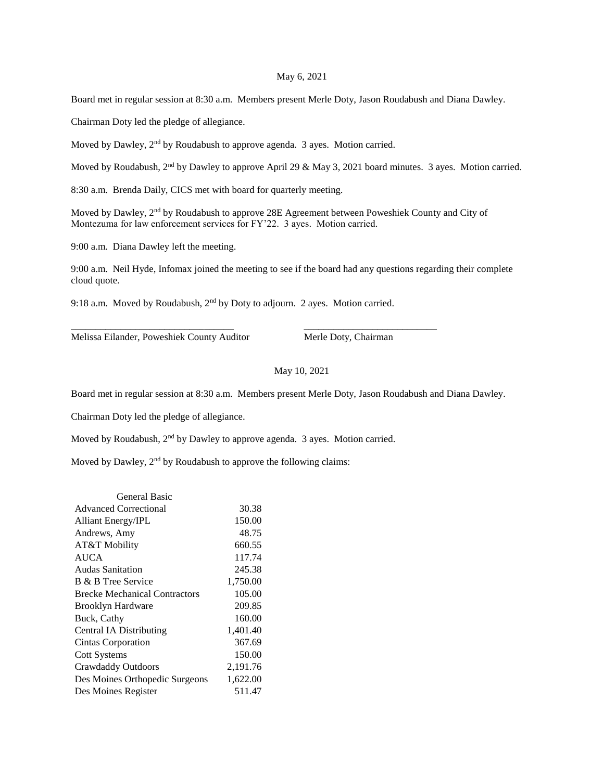## May 6, 2021

Board met in regular session at 8:30 a.m. Members present Merle Doty, Jason Roudabush and Diana Dawley.

Chairman Doty led the pledge of allegiance.

Moved by Dawley, 2<sup>nd</sup> by Roudabush to approve agenda. 3 ayes. Motion carried.

Moved by Roudabush, 2<sup>nd</sup> by Dawley to approve April 29 & May 3, 2021 board minutes. 3 ayes. Motion carried.

8:30 a.m. Brenda Daily, CICS met with board for quarterly meeting.

Moved by Dawley, 2<sup>nd</sup> by Roudabush to approve 28E Agreement between Poweshiek County and City of Montezuma for law enforcement services for FY'22. 3 ayes. Motion carried.

9:00 a.m. Diana Dawley left the meeting.

9:00 a.m. Neil Hyde, Infomax joined the meeting to see if the board had any questions regarding their complete cloud quote.

9:18 a.m. Moved by Roudabush, 2<sup>nd</sup> by Doty to adjourn. 2 ayes. Motion carried.

\_\_\_\_\_\_\_\_\_\_\_\_\_\_\_\_\_\_\_\_\_\_\_\_\_\_\_\_\_\_\_\_\_ \_\_\_\_\_\_\_\_\_\_\_\_\_\_\_\_\_\_\_\_\_\_\_\_\_\_\_

Melissa Eilander, Poweshiek County Auditor Merle Doty, Chairman

May 10, 2021

Board met in regular session at 8:30 a.m. Members present Merle Doty, Jason Roudabush and Diana Dawley.

Chairman Doty led the pledge of allegiance.

Moved by Roudabush, 2nd by Dawley to approve agenda. 3 ayes. Motion carried.

Moved by Dawley, 2<sup>nd</sup> by Roudabush to approve the following claims:

| General Basic                        |          |
|--------------------------------------|----------|
| <b>Advanced Correctional</b>         | 30.38    |
| <b>Alliant Energy/IPL</b>            | 150.00   |
| Andrews, Amy                         | 48.75    |
| AT&T Mobility                        | 660.55   |
| <b>AUCA</b>                          | 117.74   |
| <b>Audas Sanitation</b>              | 245.38   |
| B & B Tree Service                   | 1,750.00 |
| <b>Brecke Mechanical Contractors</b> | 105.00   |
| <b>Brooklyn Hardware</b>             | 209.85   |
| Buck, Cathy                          | 160.00   |
| Central IA Distributing              | 1,401.40 |
| Cintas Corporation                   | 367.69   |
| <b>Cott Systems</b>                  | 150.00   |
| <b>Crawdaddy Outdoors</b>            | 2,191.76 |
| Des Moines Orthopedic Surgeons       | 1,622.00 |
| Des Moines Register                  | 511.47   |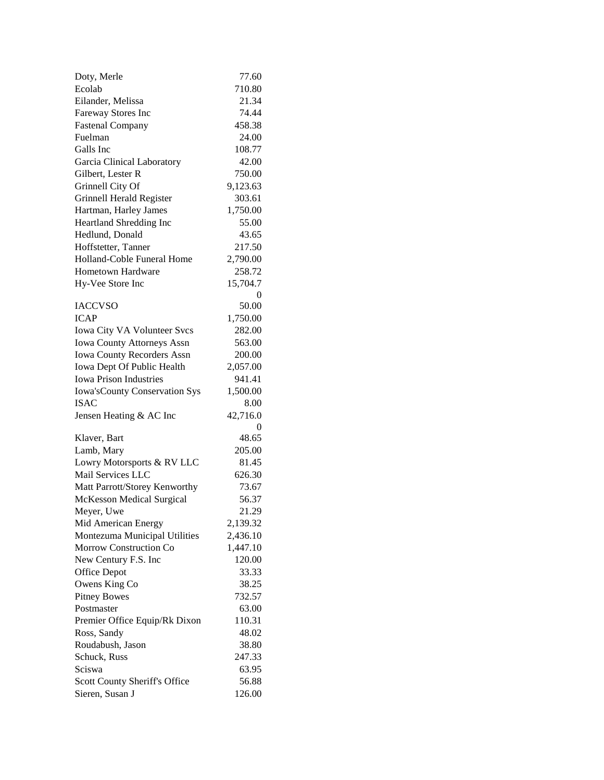| Doty, Merle                          | 77.60    |
|--------------------------------------|----------|
| Ecolab                               | 710.80   |
| Eilander, Melissa                    | 21.34    |
| Fareway Stores Inc                   | 74.44    |
| <b>Fastenal Company</b>              | 458.38   |
| Fuelman                              | 24.00    |
| Galls Inc                            | 108.77   |
| Garcia Clinical Laboratory           | 42.00    |
| Gilbert, Lester R                    | 750.00   |
| Grinnell City Of                     | 9,123.63 |
| Grinnell Herald Register             | 303.61   |
| Hartman, Harley James                | 1,750.00 |
| Heartland Shredding Inc              | 55.00    |
| Hedlund, Donald                      | 43.65    |
| Hoffstetter, Tanner                  | 217.50   |
| Holland-Coble Funeral Home           | 2,790.00 |
| <b>Hometown Hardware</b>             | 258.72   |
| Hy-Vee Store Inc                     | 15,704.7 |
|                                      | 0        |
| <b>IACCVSO</b>                       | 50.00    |
| <b>ICAP</b>                          | 1,750.00 |
| Iowa City VA Volunteer Svcs          | 282.00   |
| <b>Iowa County Attorneys Assn</b>    | 563.00   |
| <b>Iowa County Recorders Assn</b>    | 200.00   |
| Iowa Dept Of Public Health           | 2,057.00 |
| <b>Iowa Prison Industries</b>        | 941.41   |
| <b>Iowa'sCounty Conservation Sys</b> | 1,500.00 |
| <b>ISAC</b>                          | 8.00     |
| Jensen Heating & AC Inc              | 42,716.0 |
|                                      | 0        |
| Klaver, Bart                         | 48.65    |
| Lamb, Mary                           | 205.00   |
| Lowry Motorsports & RV LLC           | 81.45    |
| Mail Services LLC                    | 626.30   |
| Matt Parrott/Storey Kenworthy        | 73.67    |
| <b>McKesson Medical Surgical</b>     | 56.37    |
| Meyer, Uwe                           | 21.29    |
| Mid American Energy                  | 2,139.32 |
| Montezuma Municipal Utilities        | 2,436.10 |
| Morrow Construction Co               | 1,447.10 |
| New Century F.S. Inc                 | 120.00   |
| <b>Office Depot</b>                  | 33.33    |
| Owens King Co                        | 38.25    |
| <b>Pitney Bowes</b>                  | 732.57   |
| Postmaster                           | 63.00    |
| Premier Office Equip/Rk Dixon        | 110.31   |
| Ross, Sandy                          | 48.02    |
| Roudabush, Jason                     | 38.80    |
| Schuck, Russ                         | 247.33   |
| Sciswa                               | 63.95    |
| Scott County Sheriff's Office        | 56.88    |
| Sieren, Susan J                      | 126.00   |
|                                      |          |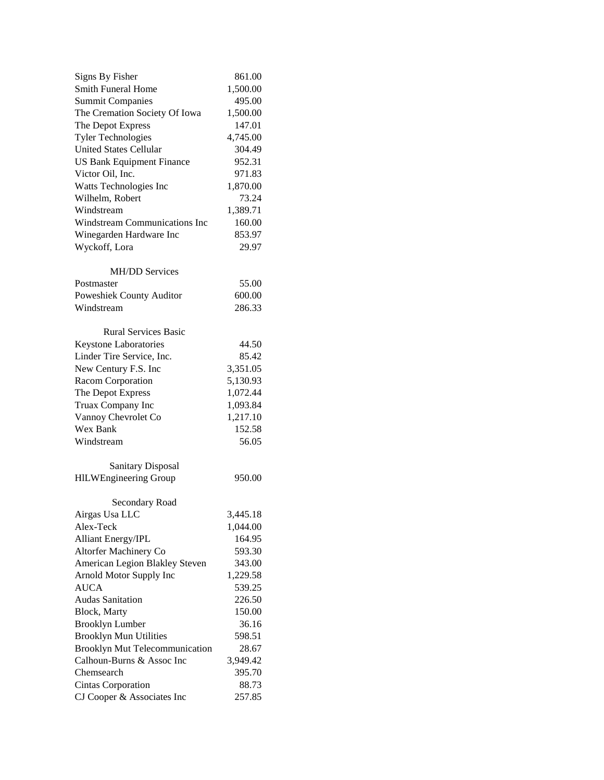| <b>Signs By Fisher</b>           | 861.00   |
|----------------------------------|----------|
| <b>Smith Funeral Home</b>        | 1,500.00 |
| <b>Summit Companies</b>          | 495.00   |
| The Cremation Society Of Iowa    | 1,500.00 |
| The Depot Express                | 147.01   |
| <b>Tyler Technologies</b>        | 4,745.00 |
| <b>United States Cellular</b>    | 304.49   |
| <b>US Bank Equipment Finance</b> | 952.31   |
| Victor Oil, Inc.                 | 971.83   |
| Watts Technologies Inc           | 1,870.00 |
| Wilhelm, Robert                  | 73.24    |
| Windstream                       | 1,389.71 |
| Windstream Communications Inc    | 160.00   |
| Winegarden Hardware Inc          | 853.97   |
| Wyckoff, Lora                    | 29.97    |
|                                  |          |
| <b>MH/DD Services</b>            |          |
| Postmaster                       | 55.00    |
| Poweshiek County Auditor         | 600.00   |
| Windstream                       | 286.33   |
| <b>Rural Services Basic</b>      |          |
| Keystone Laboratories            | 44.50    |
| Linder Tire Service, Inc.        | 85.42    |
| New Century F.S. Inc             | 3,351.05 |
| Racom Corporation                | 5,130.93 |
| The Depot Express                | 1,072.44 |
| Truax Company Inc                | 1,093.84 |
| Vannoy Chevrolet Co              | 1,217.10 |
| Wex Bank                         | 152.58   |
| Windstream                       | 56.05    |
|                                  |          |
| <b>Sanitary Disposal</b>         |          |
| <b>HILWEngineering Group</b>     | 950.00   |
| Secondary Road                   |          |
| Airgas Usa LLC                   | 3,445.18 |
| Alex-Teck                        | 1,044.00 |
| <b>Alliant Energy/IPL</b>        | 164.95   |
| Altorfer Machinery Co            | 593.30   |
| American Legion Blakley Steven   | 343.00   |
| Arnold Motor Supply Inc          | 1,229.58 |
| <b>AUCA</b>                      | 539.25   |
| <b>Audas Sanitation</b>          | 226.50   |
| <b>Block</b> , Marty             | 150.00   |
| <b>Brooklyn Lumber</b>           | 36.16    |
| <b>Brooklyn Mun Utilities</b>    | 598.51   |
| Brooklyn Mut Telecommunication   | 28.67    |
| Calhoun-Burns & Assoc Inc        | 3,949.42 |
| Chemsearch                       | 395.70   |
| Cintas Corporation               | 88.73    |
| CJ Cooper & Associates Inc       | 257.85   |
|                                  |          |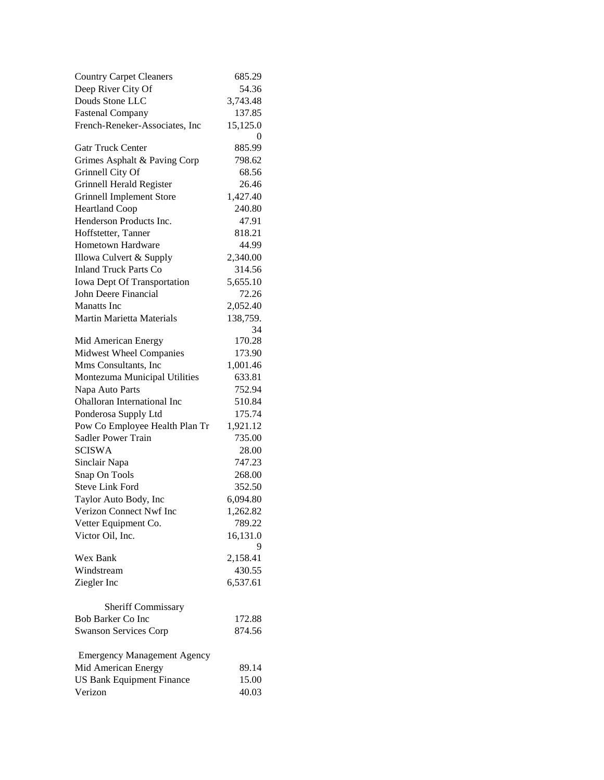| <b>Country Carpet Cleaners</b>     | 685.29   |
|------------------------------------|----------|
| Deep River City Of                 | 54.36    |
| Douds Stone LLC                    | 3,743.48 |
| <b>Fastenal Company</b>            | 137.85   |
| French-Reneker-Associates, Inc     | 15,125.0 |
|                                    | 0        |
| Gatr Truck Center                  | 885.99   |
| Grimes Asphalt & Paving Corp       | 798.62   |
| Grinnell City Of                   | 68.56    |
| Grinnell Herald Register           | 26.46    |
| <b>Grinnell Implement Store</b>    | 1,427.40 |
| <b>Heartland Coop</b>              | 240.80   |
| Henderson Products Inc.            | 47.91    |
| Hoffstetter, Tanner                | 818.21   |
| <b>Hometown Hardware</b>           | 44.99    |
| Illowa Culvert & Supply            | 2,340.00 |
| <b>Inland Truck Parts Co</b>       | 314.56   |
| <b>Iowa Dept Of Transportation</b> | 5,655.10 |
| John Deere Financial               | 72.26    |
| <b>Manatts</b> Inc                 | 2,052.40 |
| <b>Martin Marietta Materials</b>   | 138,759. |
|                                    | 34       |
| Mid American Energy                | 170.28   |
| Midwest Wheel Companies            | 173.90   |
| Mms Consultants, Inc               | 1,001.46 |
| Montezuma Municipal Utilities      | 633.81   |
| Napa Auto Parts                    | 752.94   |
| Ohalloran International Inc        | 510.84   |
| Ponderosa Supply Ltd               | 175.74   |
| Pow Co Employee Health Plan Tr     | 1,921.12 |
| Sadler Power Train                 | 735.00   |
| <b>SCISWA</b>                      | 28.00    |
| Sinclair Napa                      | 747.23   |
| Snap On Tools                      | 268.00   |
| <b>Steve Link Ford</b>             | 352.50   |
| Taylor Auto Body, Inc              | 6,094.80 |
| Verizon Connect Nwf Inc            | 1,262.82 |
| Vetter Equipment Co.               | 789.22   |
| Victor Oil, Inc.                   | 16,131.0 |
| Wex Bank                           | 2,158.41 |
| Windstream                         | 430.55   |
| Ziegler Inc                        | 6,537.61 |
|                                    |          |
| Sheriff Commissary                 |          |
| Bob Barker Co Inc                  | 172.88   |
| <b>Swanson Services Corp</b>       | 874.56   |
| <b>Emergency Management Agency</b> |          |
| Mid American Energy                | 89.14    |
| <b>US Bank Equipment Finance</b>   | 15.00    |
| Verizon                            | 40.03    |